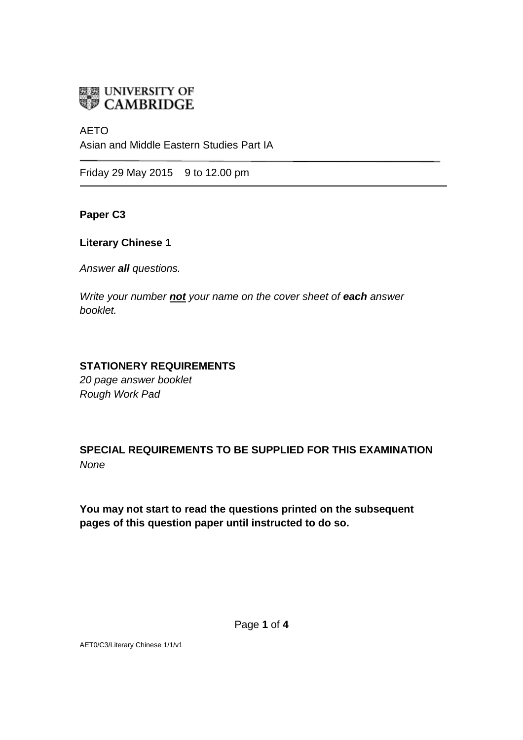

AETO Asian and Middle Eastern Studies Part IA

Friday 29 May 2015 9 to 12.00 pm

**Paper C3**

**Literary Chinese 1**

*Answer all questions.*

*Write your number not your name on the cover sheet of each answer booklet.* 

# **STATIONERY REQUIREMENTS**

*20 page answer booklet Rough Work Pad*

**SPECIAL REQUIREMENTS TO BE SUPPLIED FOR THIS EXAMINATION** *None*

**You may not start to read the questions printed on the subsequent pages of this question paper until instructed to do so.**

AET0/C3/Literary Chinese 1/1/v1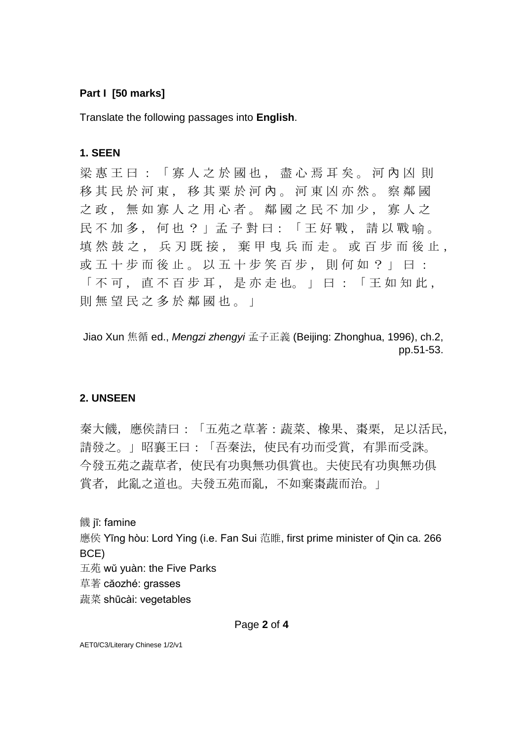### **Part I [50 marks]**

Translate the following passages into **English**.

## **1. SEEN**

梁 惠 王 曰 : 「 寡 人 之 於 國 也 , 盡 心 焉 耳 矣 。 河 內 凶 則 移 其 民 於 河 東 , 移 其 粟 於 河 內 。 河 東 凶 亦 然 。 察 鄰 國 之政, 無如寡人之用心者。鄰國之民不加少, 寡人之 民 不 加 多 , 何 也 ? 」孟 子 對 曰: 「 王 好 戰 , 請 以 戰 喻 。 填然鼓之, 兵刃既接, 棄甲曳兵而走。或百步而後止, 或 五 十 步 而 後 止 。 以 五 十 步 笑 百 步 , 則 何 如 ? 」 曰 : 「不可, 直不百步耳, 是亦走也。」曰:「王如知此, 則 無 望 民 之 多 於 鄰 國 也 。 」

Jiao Xun 焦循 ed., *Mengzi zhengyi* 孟子正義 (Beijing: Zhonghua, 1996), ch.2, pp.51-53.

#### **2. UNSEEN**

秦大饑,應侯請曰:「五苑之草著:蔬菜、橡果、棗栗,足以活民, 請發之。」昭襄王曰:「吾秦法,使民有功而受賞,有罪而受誅。 今發五苑之蔬草者,使民有功與無功俱賞也。夫使民有功與無功俱 賞者, 此亂之道也。夫發五苑而亂, 不如棄棗蔬而治。

饑 jī: famine

應侯 Yīng hòu: Lord Ying (i.e. Fan Sui 范睢, first prime minister of Qin ca. 266 BCE)

五苑 wŭ yuàn: the Five Parks

草著 căozhé: grasses

蔬菜 shūcài: vegetables

AET0/C3/Literary Chinese 1/2/v1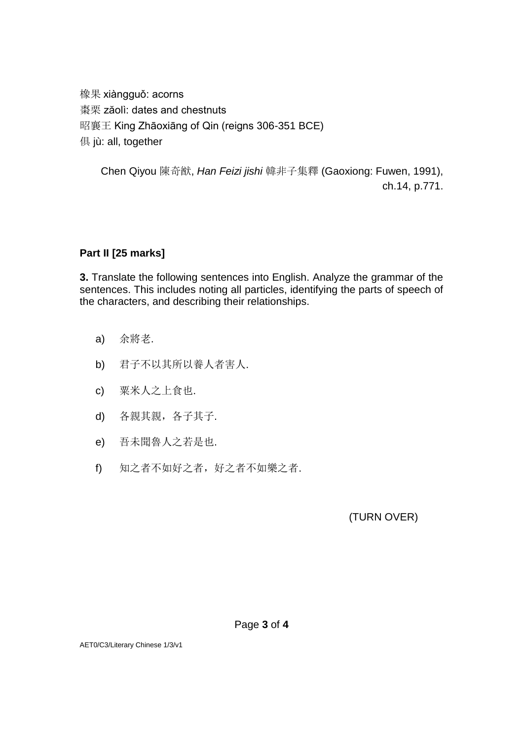橡果 xiàngguǒ: acorns 棗栗 zăolì: dates and chestnuts 昭襄王 King Zhāoxiāng of Qin (reigns 306-351 BCE) 俱 jù: all, together

Chen Qiyou 陳奇猷, *Han Feizi jishi* 韓非子集釋 (Gaoxiong: Fuwen, 1991), ch.14, p.771.

## **Part II [25 marks]**

**3.** Translate the following sentences into English. Analyze the grammar of the sentences. This includes noting all particles, identifying the parts of speech of the characters, and describing their relationships.

- a) 余將老.
- b) 君子不以其所以養人者害人.
- c) 粟米人之上食也.
- d) 各親其親,各子其子.
- e) 吾未聞魯人之若是也.
- f) 知之者不如好之者,好之者不如樂之者.

(TURN OVER)